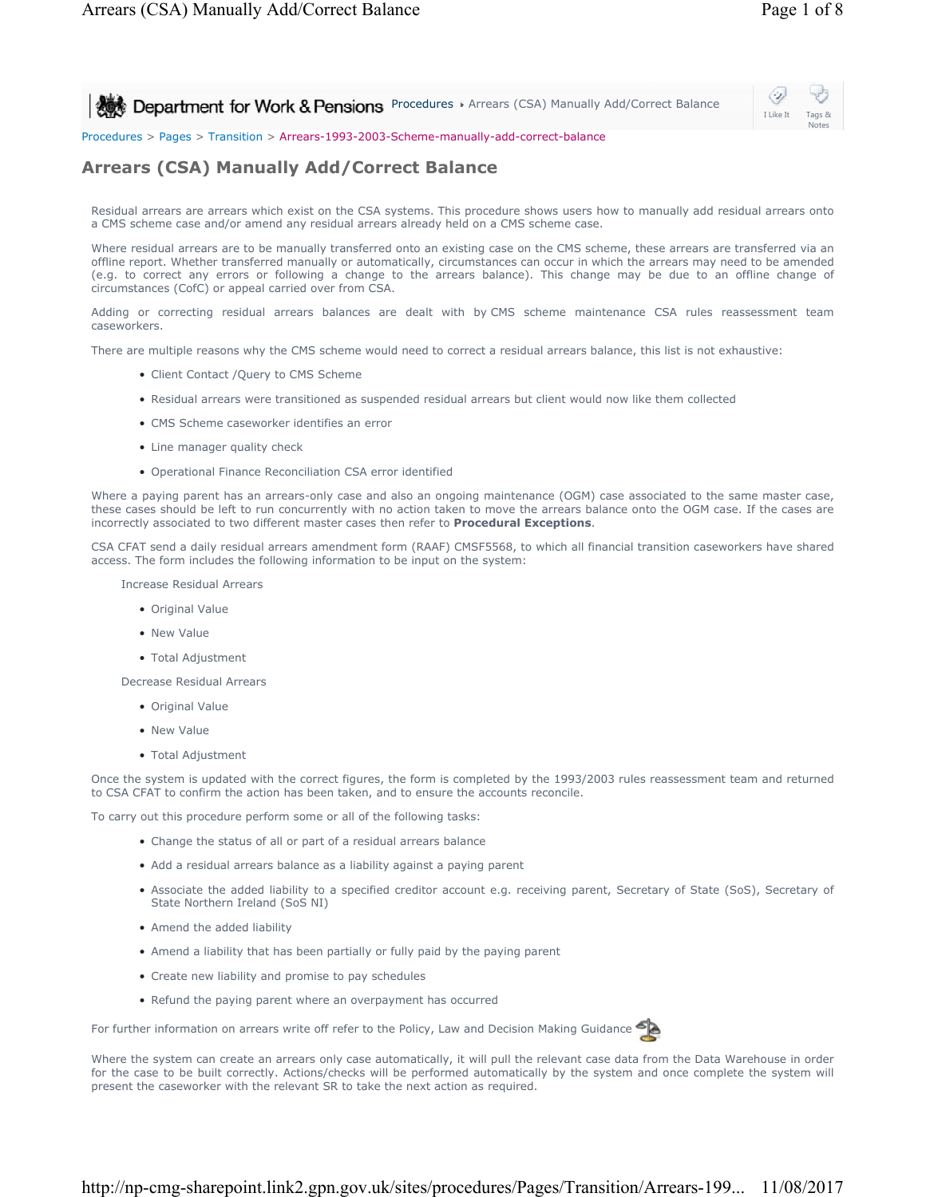**Procedures > Arrears (CSA) Manually Add/Correct Balance** 



Procedures > Pages > Transition > Arrears-1993-2003-Scheme-manually-add-correct-balance

# **Arrears (CSA) Manually Add/Correct Balance**

Residual arrears are arrears which exist on the CSA systems. This procedure shows users how to manually add residual arrears onto a CMS scheme case and/or amend any residual arrears already held on a CMS scheme case.

Where residual arrears are to be manually transferred onto an existing case on the CMS scheme, these arrears are transferred via an offline report. Whether transferred manually or automatically, circumstances can occur in which the arrears may need to be amended (e.g. to correct any errors or following a change to the arrears balance). This change may be due to an offline change of circumstances (CofC) or appeal carried over from CSA.

Adding or correcting residual arrears balances are dealt with by CMS scheme maintenance CSA rules reassessment team caseworkers.

There are multiple reasons why the CMS scheme would need to correct a residual arrears balance, this list is not exhaustive:

- Client Contact /Query to CMS Scheme
- Residual arrears were transitioned as suspended residual arrears but client would now like them collected
- CMS Scheme caseworker identifies an error
- Line manager quality check
- Operational Finance Reconciliation CSA error identified

Where a paying parent has an arrears-only case and also an ongoing maintenance (OGM) case associated to the same master case, these cases should be left to run concurrently with no action taken to move the arrears balance onto the OGM case. If the cases are incorrectly associated to two different master cases then refer to **Procedural Exceptions**.

CSA CFAT send a daily residual arrears amendment form (RAAF) CMSF5568, to which all financial transition caseworkers have shared access. The form includes the following information to be input on the system:

Increase Residual Arrears

- Original Value
- New Value
- Total Adjustment

Decrease Residual Arrears

- Original Value
- New Value
- Total Adjustment

Once the system is updated with the correct figures, the form is completed by the 1993/2003 rules reassessment team and returned to CSA CFAT to confirm the action has been taken, and to ensure the accounts reconcile.

To carry out this procedure perform some or all of the following tasks:

- Change the status of all or part of a residual arrears balance
- Add a residual arrears balance as a liability against a paying parent
- Associate the added liability to a specified creditor account e.g. receiving parent, Secretary of State (SoS), Secretary of State Northern Ireland (SoS NI)
- Amend the added liability
- Amend a liability that has been partially or fully paid by the paying parent
- Create new liability and promise to pay schedules
- Refund the paying parent where an overpayment has occurred

For further information on arrears write off refer to the Policy, Law and Decision Making Guidance



Where the system can create an arrears only case automatically, it will pull the relevant case data from the Data Warehouse in order for the case to be built correctly. Actions/checks will be performed automatically by the system and once complete the system will present the caseworker with the relevant SR to take the next action as required.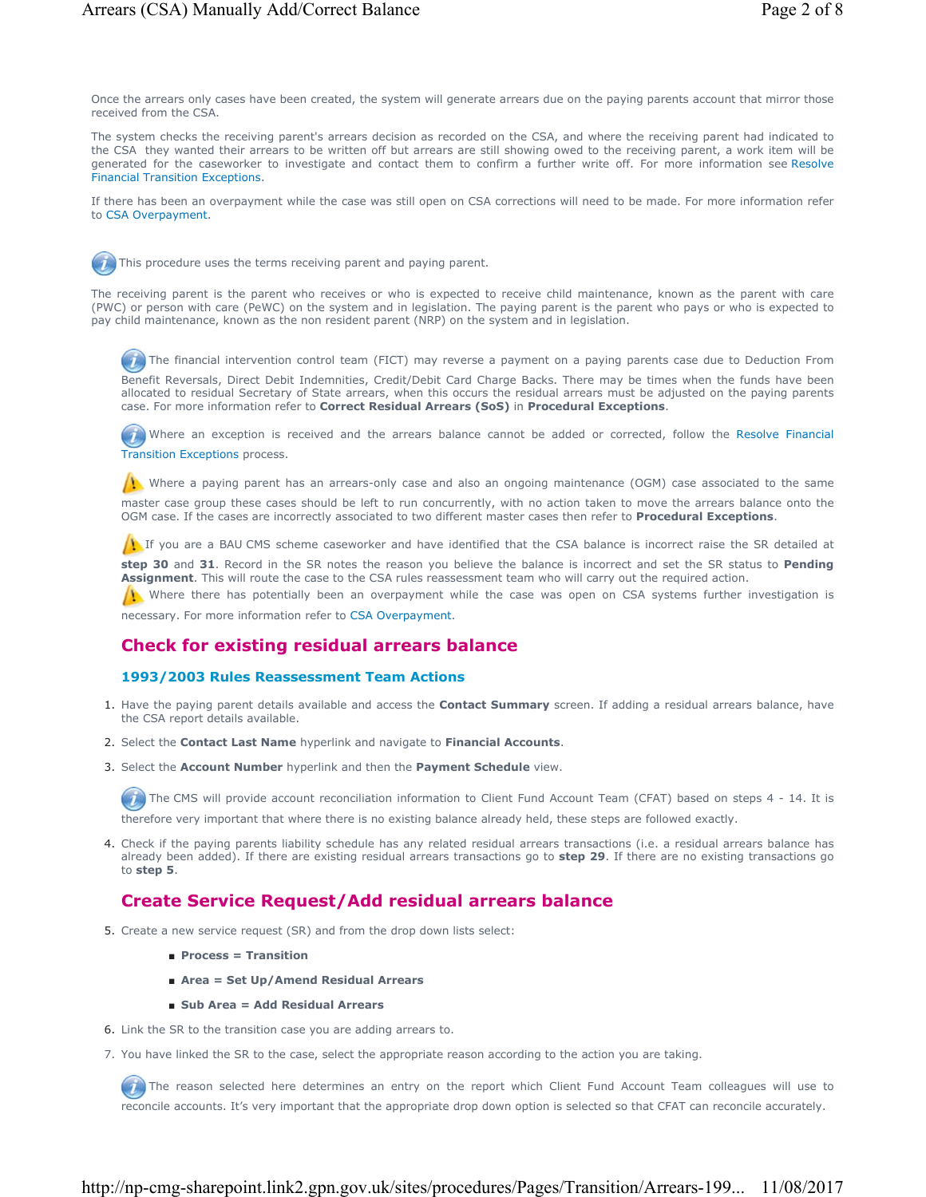Once the arrears only cases have been created, the system will generate arrears due on the paying parents account that mirror those received from the CSA.

The system checks the receiving parent's arrears decision as recorded on the CSA, and where the receiving parent had indicated to the CSA they wanted their arrears to be written off but arrears are still showing owed to the receiving parent, a work item will be generated for the caseworker to investigate and contact them to confirm a further write off. For more information see Resolve Financial Transition Exceptions.

If there has been an overpayment while the case was still open on CSA corrections will need to be made. For more information refer to CSA Overpayment.

This procedure uses the terms receiving parent and paying parent.

The receiving parent is the parent who receives or who is expected to receive child maintenance, known as the parent with care (PWC) or person with care (PeWC) on the system and in legislation. The paying parent is the parent who pays or who is expected to pay child maintenance, known as the non resident parent (NRP) on the system and in legislation.

The financial intervention control team (FICT) may reverse a payment on a paying parents case due to Deduction From

Benefit Reversals, Direct Debit Indemnities, Credit/Debit Card Charge Backs. There may be times when the funds have been allocated to residual Secretary of State arrears, when this occurs the residual arrears must be adjusted on the paying parents case. For more information refer to **Correct Residual Arrears (SoS)** in **Procedural Exceptions**.

 Where an exception is received and the arrears balance cannot be added or corrected, follow the Resolve Financial Transition Exceptions process.

Where a paying parent has an arrears-only case and also an ongoing maintenance (OGM) case associated to the same master case group these cases should be left to run concurrently, with no action taken to move the arrears balance onto the OGM case. If the cases are incorrectly associated to two different master cases then refer to **Procedural Exceptions**.

If you are a BAU CMS scheme caseworker and have identified that the CSA balance is incorrect raise the SR detailed at

**step 30** and **31**. Record in the SR notes the reason you believe the balance is incorrect and set the SR status to **Pending Assignment**. This will route the case to the CSA rules reassessment team who will carry out the required action.

Where there has potentially been an overpayment while the case was open on CSA systems further investigation is necessary. For more information refer to CSA Overpayment.

### **Check for existing residual arrears balance**

#### **1993/2003 Rules Reassessment Team Actions**

- 1. Have the paying parent details available and access the **Contact Summary** screen. If adding a residual arrears balance, have the CSA report details available.
- 2. Select the **Contact Last Name** hyperlink and navigate to **Financial Accounts**.
- Select the **Account Number** hyperlink and then the **Payment Schedule** view. 3.

 $\bm{L}$ The CMS will provide account reconciliation information to Client Fund Account Team (CFAT) based on steps 4 - 14. It is therefore very important that where there is no existing balance already held, these steps are followed exactly.

Check if the paying parents liability schedule has any related residual arrears transactions (i.e. a residual arrears balance has 4. already been added). If there are existing residual arrears transactions go to **step 29**. If there are no existing transactions go to **step 5**.

### **Create Service Request/Add residual arrears balance**

- 5. Create a new service request (SR) and from the drop down lists select:
	- **Process = Transition**
	- **Area = Set Up/Amend Residual Arrears**
	- **Sub Area = Add Residual Arrears**
- 6. Link the SR to the transition case you are adding arrears to.
- 7. You have linked the SR to the case, select the appropriate reason according to the action you are taking.

The reason selected here determines an entry on the report which Client Fund Account Team colleagues will use to reconcile accounts. It's very important that the appropriate drop down option is selected so that CFAT can reconcile accurately.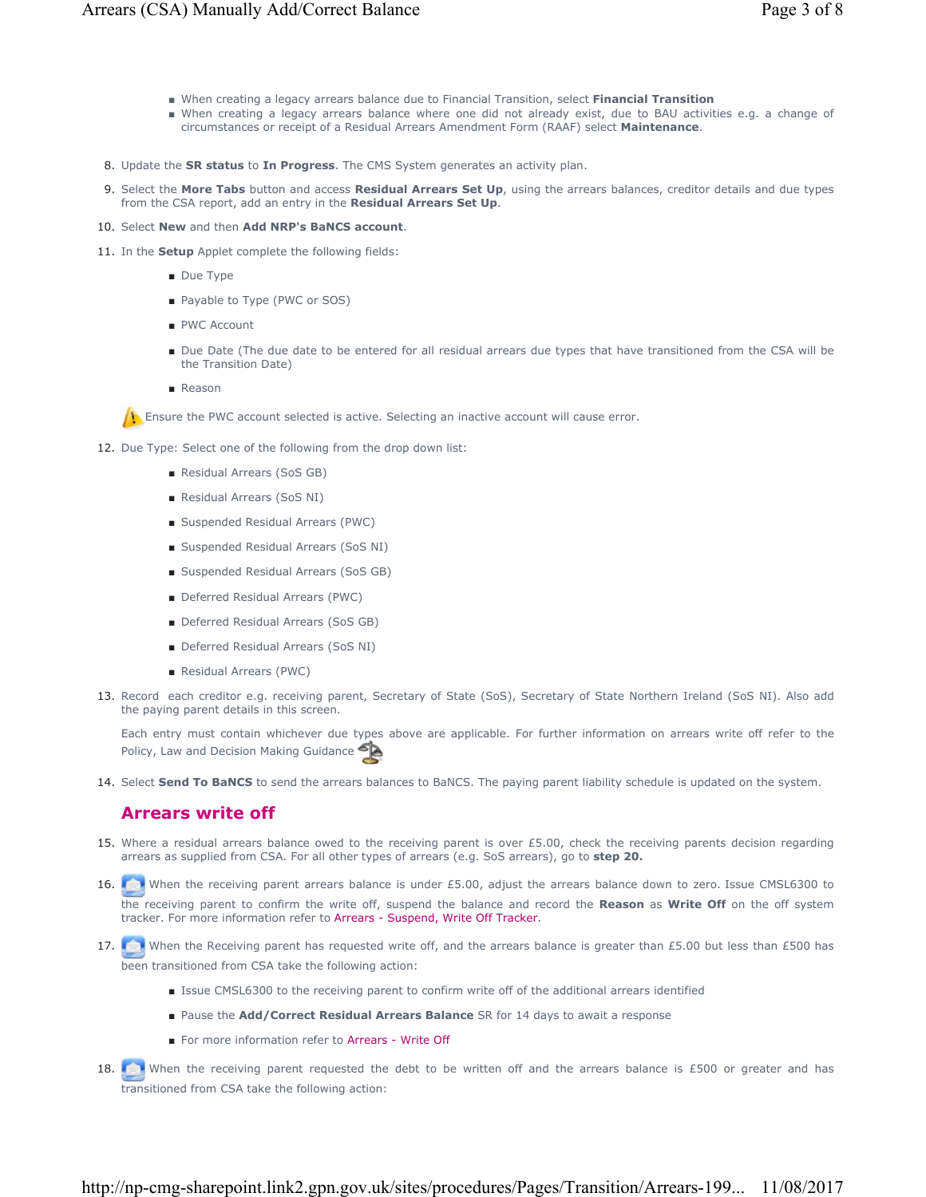- When creating a legacy arrears balance due to Financial Transition, select **Financial Transition**
- When creating a legacy arrears balance where one did not already exist, due to BAU activities e.g. a change of circumstances or receipt of a Residual Arrears Amendment Form (RAAF) select **Maintenance**.
- 8. Update the **SR status** to **In Progress**. The CMS System generates an activity plan.
- 9. Select the More Tabs button and access Residual Arrears Set Up, using the arrears balances, creditor details and due types from the CSA report, add an entry in the **Residual Arrears Set Up**.
- 10. Select **New** and then **Add NRP's BaNCS account**.
- 11. In the **Setup** Applet complete the following fields:
	- Due Type
	- Payable to Type (PWC or SOS)
	- PWC Account
	- Due Date (The due date to be entered for all residual arrears due types that have transitioned from the CSA will be the Transition Date)
	- Reason

**E** Ensure the PWC account selected is active. Selecting an inactive account will cause error.

- 12. Due Type: Select one of the following from the drop down list:
	- Residual Arrears (SoS GB)
	- Residual Arrears (SoS NI)
	- Suspended Residual Arrears (PWC)
	- Suspended Residual Arrears (SoS NI)
	- Suspended Residual Arrears (SoS GB)
	- Deferred Residual Arrears (PWC)
	- Deferred Residual Arrears (SoS GB)
	- Deferred Residual Arrears (SoS NI)
	- Residual Arrears (PWC)
- 13. Record each creditor e.g. receiving parent, Secretary of State (SoS), Secretary of State Northern Ireland (SoS NI). Also add the paying parent details in this screen.

Each entry must contain whichever due types above are applicable. For further information on arrears write off refer to the Policy, Law and Decision Making Guidance

14. Select **Send To BaNCS** to send the arrears balances to BaNCS. The paying parent liability schedule is updated on the system.

### **Arrears write off**

- Where a residual arrears balance owed to the receiving parent is over £5.00, check the receiving parents decision regarding 15. arrears as supplied from CSA. For all other types of arrears (e.g. SoS arrears), go to **step 20.**
- 16. When the receiving parent arrears balance is under £5.00, adjust the arrears balance down to zero. Issue CMSL6300 to the receiving parent to confirm the write off, suspend the balance and record the **Reason** as **Write Off** on the off system tracker. For more information refer to Arrears - Suspend, Write Off Tracker.
- 17. When the Receiving parent has requested write off, and the arrears balance is greater than £5.00 but less than £500 has been transitioned from CSA take the following action:
	- Issue CMSL6300 to the receiving parent to confirm write off of the additional arrears identified
	- Pause the **Add/Correct Residual Arrears Balance** SR for 14 days to await a response
	- For more information refer to Arrears Write Off
- 18. When the receiving parent requested the debt to be written off and the arrears balance is £500 or greater and has transitioned from CSA take the following action: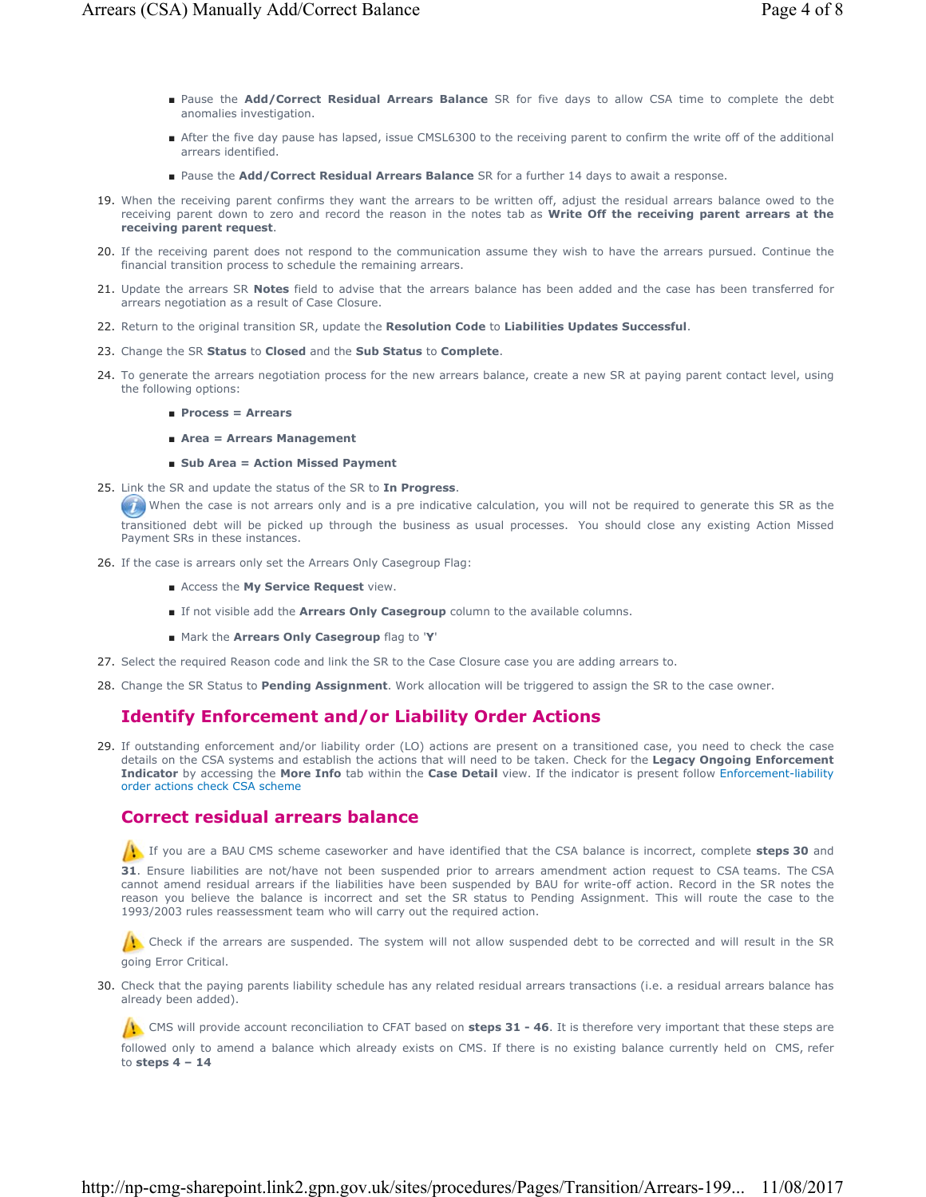- Pause the Add/Correct Residual Arrears Balance SR for five days to allow CSA time to complete the debt anomalies investigation.
- After the five day pause has lapsed, issue CMSL6300 to the receiving parent to confirm the write off of the additional arrears identified.
- Pause the **Add/Correct Residual Arrears Balance** SR for a further 14 days to await a response.
- When the receiving parent confirms they want the arrears to be written off, adjust the residual arrears balance owed to the 19. receiving parent down to zero and record the reason in the notes tab as **Write Off the receiving parent arrears at the receiving parent request**.
- 20. If the receiving parent does not respond to the communication assume they wish to have the arrears pursued. Continue the financial transition process to schedule the remaining arrears.
- 21. Update the arrears SR **Notes** field to advise that the arrears balance has been added and the case has been transferred for arrears negotiation as a result of Case Closure.
- 22. Return to the original transition SR, update the **Resolution Code** to **Liabilities Updates Successful**.
- 23. Change the SR **Status** to **Closed** and the **Sub Status** to **Complete**.
- 24. To generate the arrears negotiation process for the new arrears balance, create a new SR at paying parent contact level, using the following options:
	- **Process = Arrears**
	- **Area = Arrears Management**
	- **Sub Area = Action Missed Payment**
- 25. Link the SR and update the status of the SR to In Progress.

When the case is not arrears only and is a pre indicative calculation, you will not be required to generate this SR as the transitioned debt will be picked up through the business as usual processes. You should close any existing Action Missed Payment SRs in these instances.

- 26. If the case is arrears only set the Arrears Only Casegroup Flag:
	- Access the **My Service Request** view.
	- If not visible add the **Arrears Only Casegroup** column to the available columns.
	- Mark the **Arrears Only Casegroup** flag to '**Y**'
- 27. Select the required Reason code and link the SR to the Case Closure case you are adding arrears to.
- 28. Change the SR Status to **Pending Assignment**. Work allocation will be triggered to assign the SR to the case owner.

# **Identify Enforcement and/or Liability Order Actions**

If outstanding enforcement and/or liability order (LO) actions are present on a transitioned case, you need to check the case 29. details on the CSA systems and establish the actions that will need to be taken. Check for the **Legacy Ongoing Enforcement Indicator** by accessing the **More Info** tab within the **Case Detail** view. If the indicator is present follow Enforcement-liability order actions check CSA scheme

# **Correct residual arrears balance**

 If you are a BAU CMS scheme caseworker and have identified that the CSA balance is incorrect, complete **steps 30** and **31**. Ensure liabilities are not/have not been suspended prior to arrears amendment action request to CSA teams. The CSA cannot amend residual arrears if the liabilities have been suspended by BAU for write-off action. Record in the SR notes the reason you believe the balance is incorrect and set the SR status to Pending Assignment. This will route the case to the 1993/2003 rules reassessment team who will carry out the required action.

Check if the arrears are suspended. The system will not allow suspended debt to be corrected and will result in the SR going Error Critical.

30. Check that the paying parents liability schedule has any related residual arrears transactions (i.e. a residual arrears balance has already been added).

CMS will provide account reconciliation to CFAT based on **steps 31 - 46**. It is therefore very important that these steps are followed only to amend a balance which already exists on CMS. If there is no existing balance currently held on CMS, refer to **steps 4 – 14**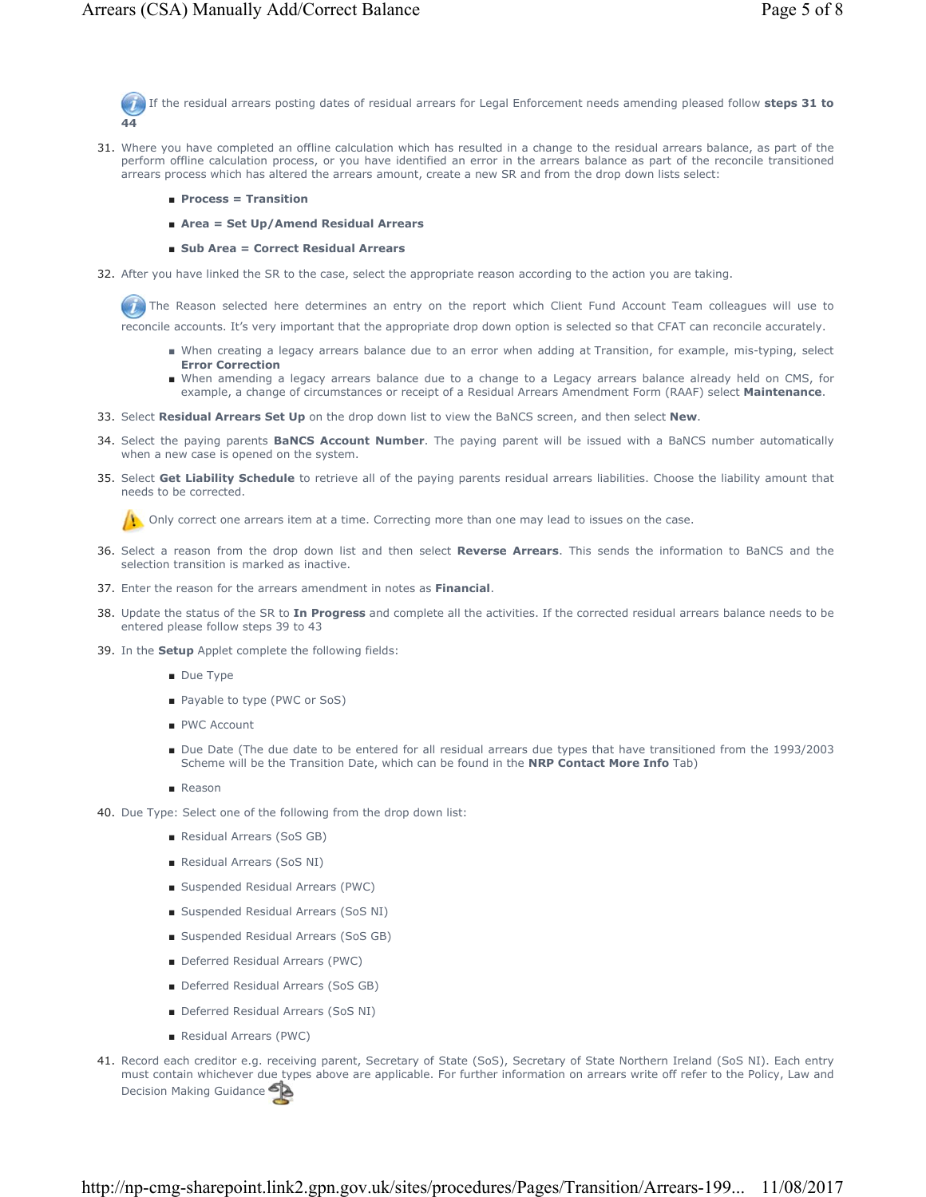If the residual arrears posting dates of residual arrears for Legal Enforcement needs amending pleased follow **steps 31 to 44** 

- Where you have completed an offline calculation which has resulted in a change to the residual arrears balance, as part of the 31. perform offline calculation process, or you have identified an error in the arrears balance as part of the reconcile transitioned arrears process which has altered the arrears amount, create a new SR and from the drop down lists select:
	- **Process = Transition**
	- **Area = Set Up/Amend Residual Arrears**
	- **Sub Area = Correct Residual Arrears**
- 32. After you have linked the SR to the case, select the appropriate reason according to the action you are taking.

The Reason selected here determines an entry on the report which Client Fund Account Team colleagues will use to reconcile accounts. It's very important that the appropriate drop down option is selected so that CFAT can reconcile accurately.

- When creating a legacy arrears balance due to an error when adding at Transition, for example, mis-typing, select **Error Correction**
- When amending a legacy arrears balance due to a change to a Legacy arrears balance already held on CMS, for example, a change of circumstances or receipt of a Residual Arrears Amendment Form (RAAF) select **Maintenance**.
- 33. Select **Residual Arrears Set Up** on the drop down list to view the BaNCS screen, and then select **New**.
- Select the paying parents **BaNCS Account Number**. The paying parent will be issued with a BaNCS number automatically 34. when a new case is opened on the system.
- 35. Select Get Liability Schedule to retrieve all of the paying parents residual arrears liabilities. Choose the liability amount that needs to be corrected.

Only correct one arrears item at a time. Correcting more than one may lead to issues on the case.

- Select a reason from the drop down list and then select **Reverse Arrears**. This sends the information to BaNCS and the 36. selection transition is marked as inactive.
- 37. Enter the reason for the arrears amendment in notes as **Financial**.
- 38. Update the status of the SR to In Progress and complete all the activities. If the corrected residual arrears balance needs to be entered please follow steps 39 to 43
- 39. In the **Setup** Applet complete the following fields:
	- Due Type
	- Payable to type (PWC or SoS)
	- PWC Account
	- Due Date (The due date to be entered for all residual arrears due types that have transitioned from the 1993/2003 Scheme will be the Transition Date, which can be found in the **NRP Contact More Info** Tab)
	- Reason
- 40. Due Type: Select one of the following from the drop down list:
	- Residual Arrears (SoS GB)
	- Residual Arrears (SoS NI)
	- Suspended Residual Arrears (PWC)
	- Suspended Residual Arrears (SoS NI)
	- Suspended Residual Arrears (SoS GB)
	- Deferred Residual Arrears (PWC)
	- Deferred Residual Arrears (SoS GB)
	- Deferred Residual Arrears (SoS NI)
	- Residual Arrears (PWC)
- 41. Record each creditor e.g. receiving parent, Secretary of State (SoS), Secretary of State Northern Ireland (SoS NI). Each entry must contain whichever due types above are applicable. For further information on arrears write off refer to the Policy, Law and Decision Making Guidance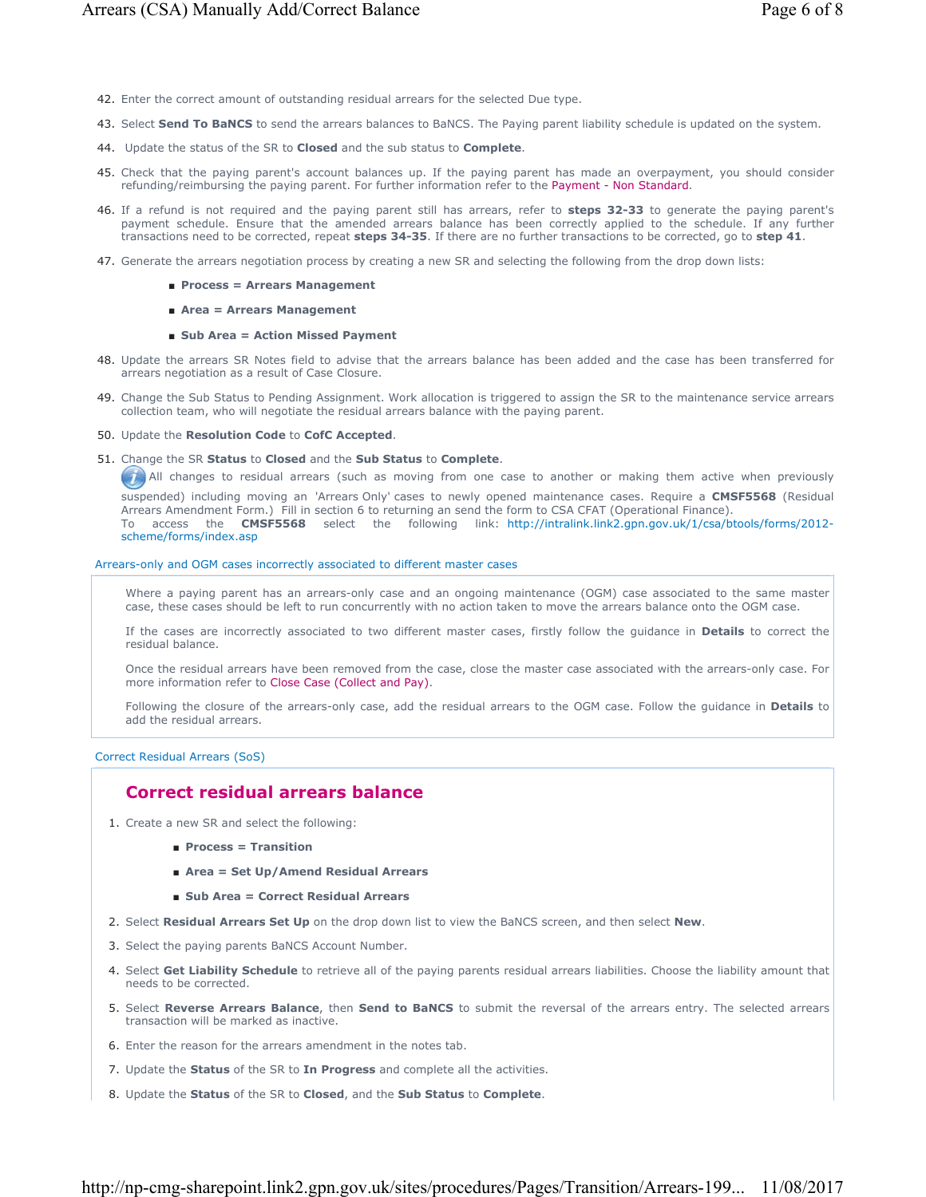- 42. Enter the correct amount of outstanding residual arrears for the selected Due type.
- 43. Select **Send To BaNCS** to send the arrears balances to BaNCS. The Paying parent liability schedule is updated on the system.
- 44. Update the status of the SR to **Closed** and the sub status to **Complete**.
- 45. Check that the paying parent's account balances up. If the paying parent has made an overpayment, you should consider refunding/reimbursing the paying parent. For further information refer to the Payment - Non Standard.
- If a refund is not required and the paying parent still has arrears, refer to **steps 32-33** to generate the paying parent's 46. payment schedule. Ensure that the amended arrears balance has been correctly applied to the schedule. If any further transactions need to be corrected, repeat **steps 34-35**. If there are no further transactions to be corrected, go to **step 41**.
- 47. Generate the arrears negotiation process by creating a new SR and selecting the following from the drop down lists:
	- **Process = Arrears Management**
	- **Area = Arrears Management**

#### ■ Sub Area = Action Missed Payment

- 48. Update the arrears SR Notes field to advise that the arrears balance has been added and the case has been transferred for arrears negotiation as a result of Case Closure.
- 49. Change the Sub Status to Pending Assignment. Work allocation is triggered to assign the SR to the maintenance service arrears collection team, who will negotiate the residual arrears balance with the paying parent.
- 50. Update the **Resolution Code** to **CofC Accepted**.
- Change the SR **Status** to **Closed** and the **Sub Status** to **Complete**. 51.

(1) All changes to residual arrears (such as moving from one case to another or making them active when previously suspended) including moving an 'Arrears Only' cases to newly opened maintenance cases. Require a **CMSF5568** (Residual Arrears Amendment Form.) Fill in section 6 to returning an send the form to CSA CFAT (Operational Finance). To access the **CMSF5568** select the following link: http://intralink.link2.gpn.gov.uk/1/csa/btools/forms/2012 scheme/forms/index.asp

#### Arrears-only and OGM cases incorrectly associated to different master cases

Where a paying parent has an arrears-only case and an ongoing maintenance (OGM) case associated to the same master case, these cases should be left to run concurrently with no action taken to move the arrears balance onto the OGM case.

If the cases are incorrectly associated to two different master cases, firstly follow the guidance in **Details** to correct the residual balance.

Once the residual arrears have been removed from the case, close the master case associated with the arrears-only case. For more information refer to Close Case (Collect and Pay).

Following the closure of the arrears-only case, add the residual arrears to the OGM case. Follow the guidance in **Details** to add the residual arrears.

Correct Residual Arrears (SoS)

# **Correct residual arrears balance**

- 1. Create a new SR and select the following:
	- **Process = Transition**
	- **Area = Set Up/Amend Residual Arrears**
	- **Sub Area = Correct Residual Arrears**
- 2. Select **Residual Arrears Set Up** on the drop down list to view the BaNCS screen, and then select **New**.
- 3. Select the paying parents BaNCS Account Number.
- 4. Select Get Liability Schedule to retrieve all of the paying parents residual arrears liabilities. Choose the liability amount that needs to be corrected.
- 5. Select Reverse Arrears Balance, then Send to BaNCS to submit the reversal of the arrears entry. The selected arrears transaction will be marked as inactive.
- 6. Enter the reason for the arrears amendment in the notes tab.
- 7. Update the **Status** of the SR to **In Progress** and complete all the activities.
- 8. Update the **Status** of the SR to **Closed**, and the **Sub Status** to **Complete**.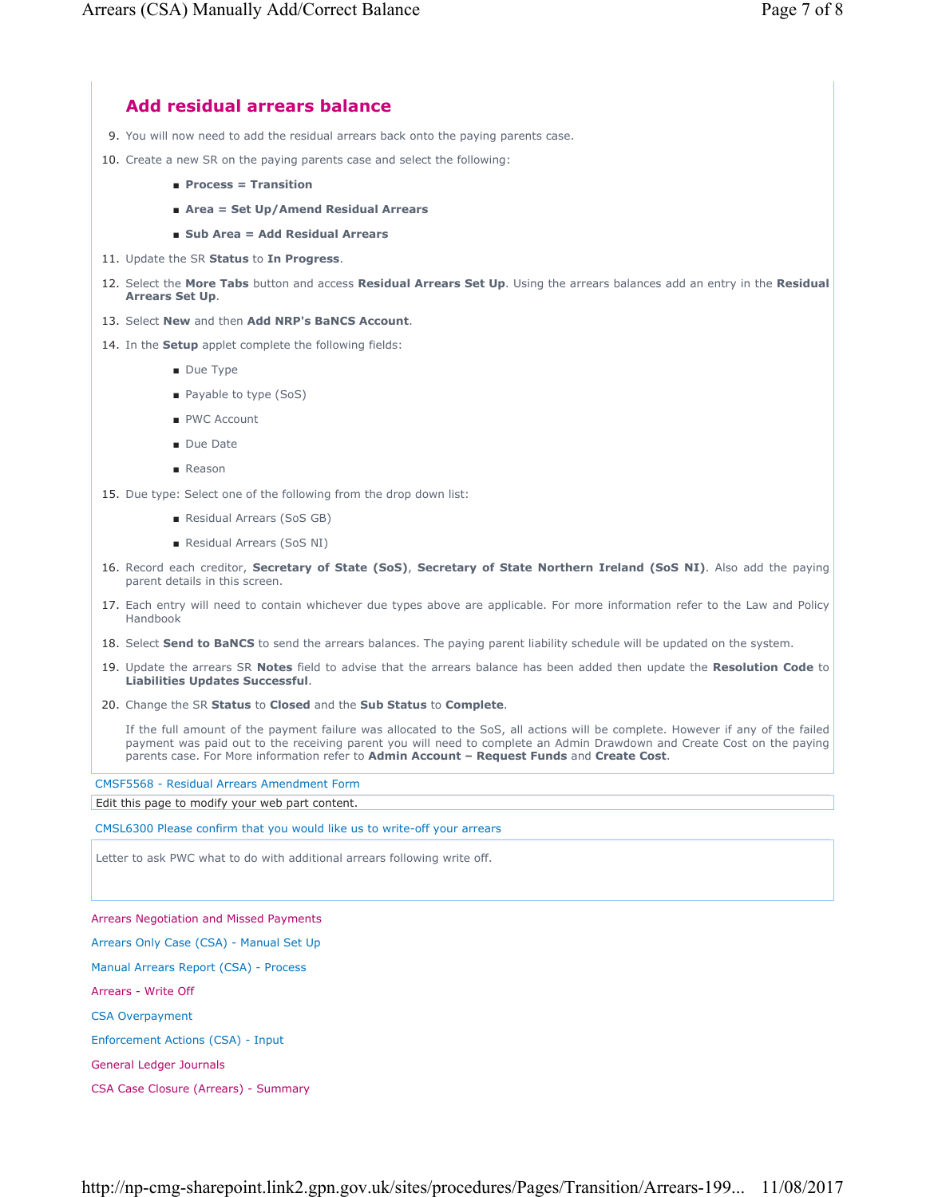# **Add residual arrears balance**

- 9. You will now need to add the residual arrears back onto the paying parents case.
- 10. Create a new SR on the paying parents case and select the following:
	- **Process = Transition**
	- **Area = Set Up/Amend Residual Arrears**
	- **Sub Area = Add Residual Arrears**
- 11. Update the SR **Status** to **In Progress**.
- 12. Select the More Tabs button and access Residual Arrears Set Up. Using the arrears balances add an entry in the Residual **Arrears Set Up**.
- 13. Select **New** and then **Add NRP's BaNCS Account**.
- 14. In the **Setup** applet complete the following fields:
	- Due Type
	- Payable to type (SoS)
	- PWC Account
	- Due Date
	- Reason
- 15. Due type: Select one of the following from the drop down list:
	- Residual Arrears (SoS GB)
	- Residual Arrears (SoS NI)
- 16. Record each creditor, Secretary of State (SoS), Secretary of State Northern Ireland (SoS NI). Also add the paying parent details in this screen.
- 17. Each entry will need to contain whichever due types above are applicable. For more information refer to the Law and Policy Handbook
- 18. Select **Send to BaNCS** to send the arrears balances. The paying parent liability schedule will be updated on the system.
- 19. Update the arrears SR Notes field to advise that the arrears balance has been added then update the Resolution Code to **Liabilities Updates Successful**.
- 20. Change the SR **Status** to **Closed** and the **Sub Status** to **Complete**.

If the full amount of the payment failure was allocated to the SoS, all actions will be complete. However if any of the failed payment was paid out to the receiving parent you will need to complete an Admin Drawdown and Create Cost on the paying parents case. For More information refer to **Admin Account – Request Funds** and **Create Cost**.

CMSF5568 - Residual Arrears Amendment Form

Edit this page to modify your web part content.

CMSL6300 Please confirm that you would like us to write-off your arrears

Letter to ask PWC what to do with additional arrears following write off.

Arrears Negotiation and Missed Payments

Arrears Only Case (CSA) - Manual Set Up

Manual Arrears Report (CSA) - Process

Arrears - Write Off

CSA Overpayment

Enforcement Actions (CSA) - Input

General Ledger Journals

CSA Case Closure (Arrears) - Summary